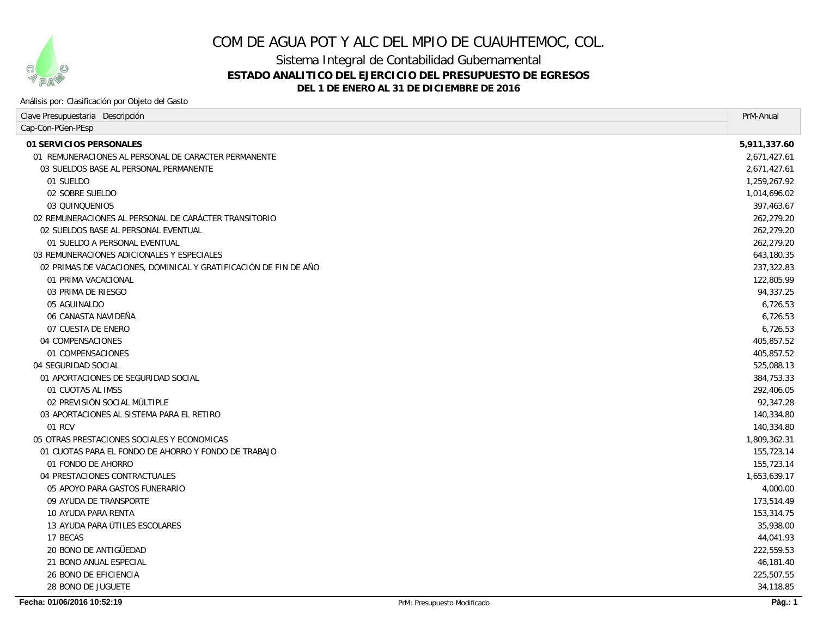

# COM DE AGUA POT Y ALC DEL MPIO DE CUAUHTEMOC, COL.

Sistema Integral de Contabilidad Gubernamental

## **ESTADO ANALITICO DEL EJERCICIO DEL PRESUPUESTO DE EGRESOS**

**DEL 1 DE ENERO AL 31 DE DICIEMBRE DE 2016**

#### Análisis por: Clasificación por Objeto del Gasto

| Clave Presupuestaria Descripción                                 |                             | PrM-Anual      |
|------------------------------------------------------------------|-----------------------------|----------------|
| Cap-Con-PGen-PEsp                                                |                             |                |
| 01 SERVICIOS PERSONALES                                          |                             | 5,911,337.60   |
| 01 REMUNERACIONES AL PERSONAL DE CARACTER PERMANENTE             |                             | 2,671,427.61   |
| 03 SUELDOS BASE AL PERSONAL PERMANENTE                           |                             | 2,671,427.61   |
| 01 SUELDO                                                        |                             | 1,259,267.92   |
| 02 SOBRE SUELDO                                                  |                             | 1,014,696.02   |
| 03 QUINQUENIOS                                                   |                             | 397,463.67     |
| 02 REMUNERACIONES AL PERSONAL DE CARÁCTER TRANSITORIO            |                             | 262,279.20     |
| 02 SUELDOS BASE AL PERSONAL EVENTUAL                             |                             | 262,279.20     |
| 01 SUELDO A PERSONAL EVENTUAL                                    |                             | 262,279.20     |
| 03 REMUNERACIONES ADICIONALES Y ESPECIALES                       |                             | 643,180.35     |
| 02 PRIMAS DE VACACIONES, DOMINICAL Y GRATIFICACIÓN DE FIN DE AÑO |                             | 237,322.83     |
| 01 PRIMA VACACIONAL                                              |                             | 122.805.99     |
| 03 PRIMA DE RIESGO                                               |                             | 94,337.25      |
| 05 AGUINALDO                                                     |                             | 6.726.53       |
| 06 CANASTA NAVIDEÑA                                              |                             | 6,726.53       |
| 07 CUESTA DE ENERO                                               |                             | 6,726.53       |
| 04 COMPENSACIONES                                                |                             | 405,857.52     |
| 01 COMPENSACIONES                                                |                             | 405,857.52     |
| 04 SEGURIDAD SOCIAL                                              |                             | 525,088.13     |
| 01 APORTACIONES DE SEGURIDAD SOCIAL                              |                             | 384,753.33     |
| 01 CUOTAS AL IMSS                                                |                             | 292,406.05     |
| 02 PREVISIÓN SOCIAL MÚLTIPLE                                     |                             | 92,347.28      |
| 03 APORTACIONES AL SISTEMA PARA EL RETIRO                        |                             | 140,334.80     |
| 01 RCV                                                           |                             | 140,334.80     |
| 05 OTRAS PRESTACIONES SOCIALES Y ECONOMICAS                      |                             | 1,809,362.31   |
| 01 CUOTAS PARA EL FONDO DE AHORRO Y FONDO DE TRABAJO             |                             | 155,723.14     |
| 01 FONDO DE AHORRO                                               |                             | 155,723.14     |
| 04 PRESTACIONES CONTRACTUALES                                    |                             | 1,653,639.17   |
| 05 APOYO PARA GASTOS FUNERARIO                                   |                             | 4,000.00       |
| 09 AYUDA DE TRANSPORTE                                           |                             | 173,514.49     |
| 10 AYUDA PARA RENTA                                              |                             | 153,314.75     |
| 13 AYUDA PARA ÚTILES ESCOLARES                                   |                             | 35,938.00      |
| 17 BECAS                                                         |                             | 44,041.93      |
| 20 BONO DE ANTIGÜEDAD                                            |                             | 222,559.53     |
| 21 BONO ANUAL ESPECIAL                                           |                             | 46,181.40      |
| <b>26 BONO DE EFICIENCIA</b>                                     |                             | 225,507.55     |
| 28 BONO DE JUGUETE                                               |                             | 34,118.85      |
| Fecha: 01/06/2016 10:52:19                                       | PrM: Presupuesto Modificado | <b>Pág.: 1</b> |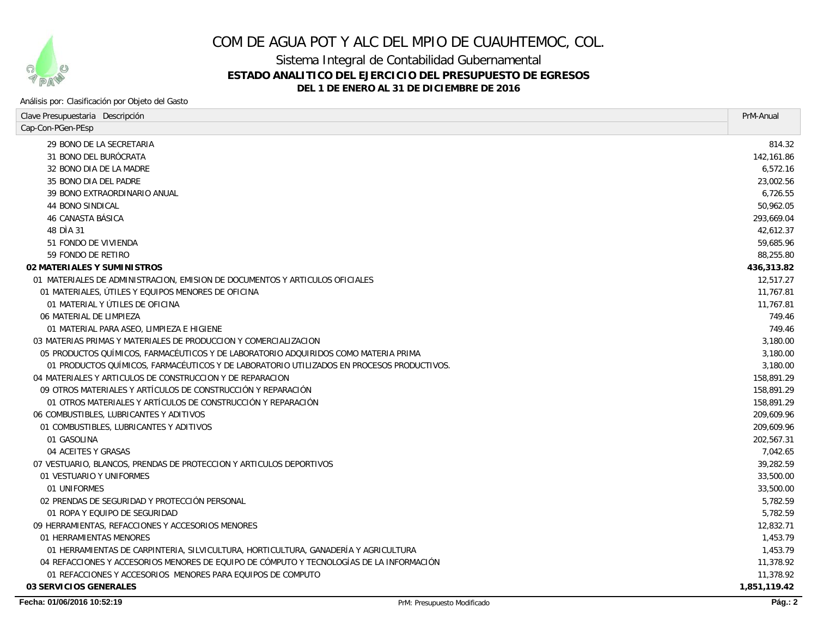

## COM DE AGUA POT Y ALC DEL MPIO DE CUAUHTEMOC, COL.

Sistema Integral de Contabilidad Gubernamental

## **ESTADO ANALITICO DEL EJERCICIO DEL PRESUPUESTO DE EGRESOS**

**DEL 1 DE ENERO AL 31 DE DICIEMBRE DE 2016**

#### Análisis por: Clasificación por Objeto del Gasto

| Clave Presupuestaria Descripción                                                          | PrM-Anual    |
|-------------------------------------------------------------------------------------------|--------------|
| Cap-Con-PGen-PEsp                                                                         |              |
| 29 BONO DE LA SECRETARIA                                                                  | 814.32       |
| <i>31 BONO DEL BURÓCRATA</i>                                                              | 142, 161.86  |
| 32 BONO DIA DE LA MADRE                                                                   | 6,572.16     |
| 35 BONO DIA DEL PADRE                                                                     | 23,002.56    |
| 39 BONO EXTRAORDINARIO ANUAL                                                              | 6,726.55     |
| 44 BONO SINDICAL                                                                          | 50,962.05    |
| 46 CANASTA BÁSICA                                                                         | 293,669.04   |
| 48 DIA 31                                                                                 | 42,612.37    |
| 51 FONDO DE VIVIENDA                                                                      | 59,685.96    |
| 59 FONDO DE RETIRO                                                                        | 88,255.80    |
| <b>02 MATERIALES Y SUMINISTROS</b>                                                        | 436,313.82   |
| 01 MATERIALES DE ADMINISTRACION, EMISION DE DOCUMENTOS Y ARTICULOS OFICIALES              | 12,517.27    |
| 01 MATERIALES, ÚTILES Y EQUIPOS MENORES DE OFICINA                                        | 11,767.81    |
| 01 MATERIAL Y ÚTILES DE OFICINA                                                           | 11,767.81    |
| 06 MATERIAL DE LIMPIEZA                                                                   | 749.46       |
| 01 MATERIAL PARA ASEO, LIMPIEZA E HIGIENE                                                 | 749.46       |
| 03 MATERIAS PRIMAS Y MATERIALES DE PRODUCCION Y COMERCIALIZACION                          | 3,180.00     |
| 05 PRODUCTOS QUÍMICOS, FARMACÉUTICOS Y DE LABORATORIO ADQUIRIDOS COMO MATERIA PRIMA       | 3,180.00     |
| 01 PRODUCTOS QUÍMICOS, FARMACÉUTICOS Y DE LABORATORIO UTILIZADOS EN PROCESOS PRODUCTIVOS. | 3,180.00     |
| 04 MATERIALES Y ARTICULOS DE CONSTRUCCION Y DE REPARACION                                 | 158,891.29   |
| 09 OTROS MATERIALES Y ARTÍCULOS DE CONSTRUCCIÓN Y REPARACIÓN                              | 158,891.29   |
| 01 OTROS MATERIALES Y ARTÍCULOS DE CONSTRUCCIÓN Y REPARACIÓN                              | 158,891.29   |
| 06 COMBUSTIBLES, LUBRICANTES Y ADITIVOS                                                   | 209,609.96   |
| 01 COMBUSTIBLES, LUBRICANTES Y ADITIVOS                                                   | 209.609.96   |
| 01 GASOLINA                                                                               | 202.567.31   |
| 04 ACEITES Y GRASAS                                                                       | 7,042.65     |
| 07 VESTUARIO, BLANCOS, PRENDAS DE PROTECCION Y ARTICULOS DEPORTIVOS                       | 39.282.59    |
| 01 VESTUARIO Y UNIFORMES                                                                  | 33,500.00    |
| 01 UNIFORMES                                                                              | 33,500.00    |
| 02 PRENDAS DE SEGURIDAD Y PROTECCIÓN PERSONAL                                             | 5,782.59     |
| 01 ROPA Y EQUIPO DE SEGURIDAD                                                             | 5,782.59     |
| 09 HERRAMIENTAS, REFACCIONES Y ACCESORIOS MENORES                                         | 12,832.71    |
| 01 HERRAMIENTAS MENORES                                                                   | 1.453.79     |
| 01 HERRAMIENTAS DE CARPINTERIA, SILVICULTURA, HORTICULTURA, GANADERÍA Y AGRICULTURA       | 1,453.79     |
| 04 REFACCIONES Y ACCESORIOS MENORES DE EQUIPO DE CÓMPUTO Y TECNOLOGÍAS DE LA INFORMACIÓN  | 11,378.92    |
| 01 REFACCIONES Y ACCESORIOS MENORES PARA EQUIPOS DE COMPUTO                               | 11,378.92    |
| 03 SERVICIOS GENERALES                                                                    | 1,851,119.42 |